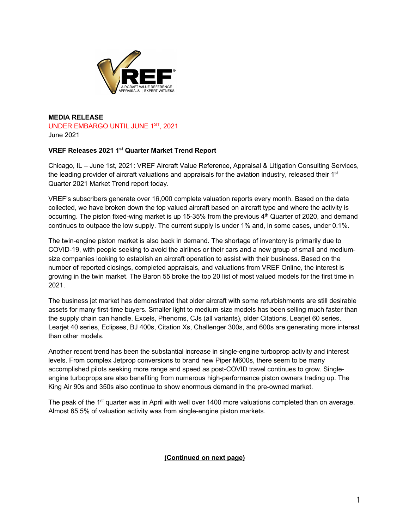

**MEDIA RELEASE**  UNDER EMBARGO UNTIL JUNE 1ST, 2021 June 2021

## **VREF Releases 2021 1st Quarter Market Trend Report**

Chicago, IL – June 1st, 2021: VREF Aircraft Value Reference, Appraisal & Litigation Consulting Services, the leading provider of aircraft valuations and appraisals for the aviation industry, released their  $1<sup>st</sup>$ Quarter 2021 Market Trend report today.

VREF's subscribers generate over 16,000 complete valuation reports every month. Based on the data collected, we have broken down the top valued aircraft based on aircraft type and where the activity is occurring. The piston fixed-wing market is up 15-35% from the previous 4th Quarter of 2020, and demand continues to outpace the low supply. The current supply is under 1% and, in some cases, under 0.1%.

The twin-engine piston market is also back in demand. The shortage of inventory is primarily due to COVID-19, with people seeking to avoid the airlines or their cars and a new group of small and mediumsize companies looking to establish an aircraft operation to assist with their business. Based on the number of reported closings, completed appraisals, and valuations from VREF Online, the interest is growing in the twin market. The Baron 55 broke the top 20 list of most valued models for the first time in 2021.

The business jet market has demonstrated that older aircraft with some refurbishments are still desirable assets for many first-time buyers. Smaller light to medium-size models has been selling much faster than the supply chain can handle. Excels, Phenoms, CJs (all variants), older Citations, Learjet 60 series, Learjet 40 series, Eclipses, BJ 400s, Citation Xs, Challenger 300s, and 600s are generating more interest than other models.

Another recent trend has been the substantial increase in single-engine turboprop activity and interest levels. From complex Jetprop conversions to brand new Piper M600s, there seem to be many accomplished pilots seeking more range and speed as post-COVID travel continues to grow. Singleengine turboprops are also benefiting from numerous high-performance piston owners trading up. The King Air 90s and 350s also continue to show enormous demand in the pre-owned market.

The peak of the 1<sup>st</sup> quarter was in April with well over 1400 more valuations completed than on average. Almost 65.5% of valuation activity was from single-engine piston markets.

## **(Continued on next page)**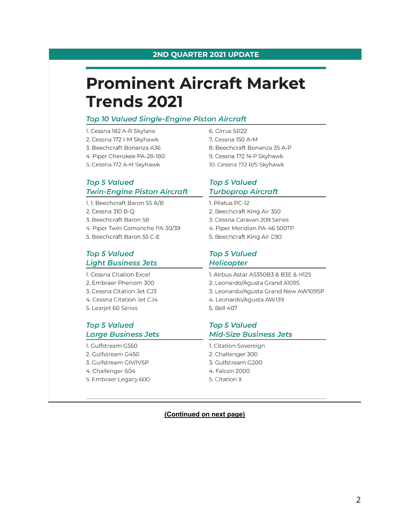# **Prominent Aircraft Market Trends 2021**

# **Top 10 Valued Single-Engine Piston Aircraft**

- 1. Cessna 182 A-R Skylane
- 2. Cessna 172 I-M Skyhawk
- 3. Beechcraft Bonanza A36
- 4. Piper Cherokee PA-28-180
- 5. Cessna 172 A-H Skyhawk

# **Top 5 Valued Twin-Engine Piston Aircraft**

1.1. Beechcraft Baron 55 A/B

- 2. Cessna 310 B-O
- 3. Beechcraft Baron 58
- 4. Piper Twin Comanche PA-30/39
- 5. Beechcraft Baron 55 C-E

# **Top 5 Valued Light Business Jets**

1. Cessna Citation Excel 2. Embraer Phenom 300 3. Cessna Citation Jet CJ3 4. Cessna Citation Jet CJ4 5. Learjet 60 Series

## **Top 5 Valued Large Business Jets**

- 1. Gulfstream G550 2. Gulfstream G450 3. Gulfstream GIV/IVSP
- 4. Challenger 604
- 5. Embraer Legacy 600

6. Cirrus SR22 7. Cessna 150 A-M 8. Beechcraft Bonanza 35 A-P 9. Cessna 172 N-P Skyhawk 10. Cessna 172 R/S Skyhawk

# **Top 5 Valued Turboprop Aircraft**

- 1. Pilatus PC-12
- 2. Beechcraft King Air 350
- 3. Cessna Caravan 208 Series
- 4. Piper Meridian PA-46 500TP
- 5. Beechcraft King Air C90

# **Top 5 Valued Helicopter**

- 1. Airbus Astar AS350B3 & B3E & H125 2. Leonardo/Agusta Grand A109S 3. Leonardo/Agusta Grand New AW109SP
- 4. Leonardo/Agusta AW139
- 5. Bell 407

# **Top 5 Valued Mid-Size Business Jets**

- 1. Citation Sovereign 2. Challenger 300
- 3. Gulfstream G200
- 4. Falcon 2000
- 5. Citation X

## (Continued on next page)